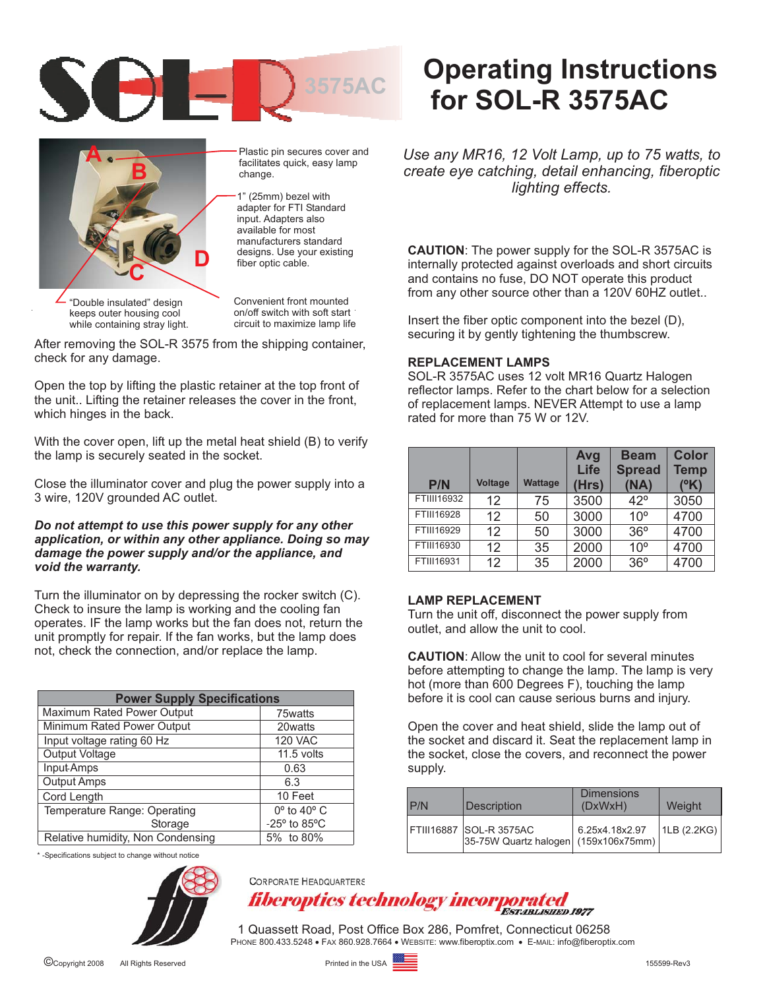



while containing stray light.

Plastic pin secures cover and facilitates quick, easy lamp change.

1" (25mm) bezel with adapter for FTI Standard input. Adapters also available for most manufacturers standard designs. Use your existing fiber optic cable.

Convenient front mounted on/off switch with soft start circuit to maximize lamp life

After removing the SOL-R 3575 from the shipping container, check for any damage.

Open the top by lifting the plastic retainer at the top front of the unit.. Lifting the retainer releases the cover in the front, which hinges in the back.

With the cover open, lift up the metal heat shield (B) to verify the lamp is securely seated in the socket.

Close the illuminator cover and plug the power supply into a 3 wire, 120V grounded AC outlet.

### *Do not attempt to use this power supply for any other application, or within any other appliance. Doing so may damage the power supply and/or the appliance, and void the warranty.*

Turn the illuminator on by depressing the rocker switch (C). Check to insure the lamp is working and the cooling fan operates. IF the lamp works but the fan does not, return the unit promptly for repair. If the fan works, but the lamp does not, check the connection, and/or replace the lamp.

| <b>Power Supply Specifications</b>    |                               |  |  |  |
|---------------------------------------|-------------------------------|--|--|--|
| Maximum Rated Power Output            | 75watts                       |  |  |  |
| Minimum Rated Power Output<br>20watts |                               |  |  |  |
| Input voltage rating 60 Hz            | <b>120 VAC</b>                |  |  |  |
| Output Voltage                        | $11.5$ volts                  |  |  |  |
| Input-Amps                            | 0.63                          |  |  |  |
| Output Amps                           | 6.3                           |  |  |  |
| Cord Length                           | 10 Feet                       |  |  |  |
| Temperature Range: Operating          | $0^\circ$ to 40 $^\circ$ C    |  |  |  |
| Storage                               | $-25^\circ$ to 85 $\degree$ C |  |  |  |
| Relative humidity, Non Condensing     | 5% to 80%                     |  |  |  |

\* -Specifications subject to change without notice



**CORPORATE HEADQUARTERS** fiberoptics technology incorporated

1 Quassett Road, Post Office Box 286, Pomfret, Connecticut 06258 PHONE 800.433.5248 · FAX 860.928.7664 · WEBSITE: www.fiberoptix.com · E-MAIL: info@fiberoptix.com

# **Operating Instructions for SOL-R 3575AC**

*Use any MR16, 12 Volt Lamp, up to 75 watts, to create eye catching, detail enhancing, fiberoptic lighting effects.*

**CAUTION**: The power supply for the SOL-R 3575AC is internally protected against overloads and short circuits and contains no fuse, DO NOT operate this product from any other source other than a 120V 60HZ outlet..

Insert the fiber optic component into the bezel (D), securing it by gently tightening the thumbscrew.

### **REPLACEMENT LAMPS**

SOL-R 3575AC uses 12 volt MR16 Quartz Halogen reflector lamps. Refer to the chart below for a selection of replacement lamps. NEVER Attempt to use a lamp rated for more than 75 W or 12V.

| P/N        | <b>Voltage</b>    | <b>Wattage</b> | Avg<br>Life<br>(Hrs) | <b>Beam</b><br><b>Spread</b><br>(NA) | <b>Color</b><br><b>Temp</b><br>(°K) |
|------------|-------------------|----------------|----------------------|--------------------------------------|-------------------------------------|
| FTIII16932 | 12                | 75             | 3500                 | $42^{\circ}$                         | 3050                                |
| FTIII16928 | $12 \overline{ }$ | 50             | 3000                 | 10 <sup>o</sup>                      | 4700                                |
| FTIII16929 | 12                | 50             | 3000                 | 36°                                  | 4700                                |
| FTIII16930 | 12                | 35             | 2000                 | $10^{\circ}$                         | 4700                                |
| FTIII16931 | 12                | 35             | 2000                 | 36°                                  | 4700                                |

## **LAMP REPLACEMENT**

Turn the unit off, disconnect the power supply from outlet, and allow the unit to cool.

**CAUTION:** Allow the unit to cool for several minutes before attempting to change the lamp. The lamp is very hot (more than 600 Degrees F), touching the lamp before it is cool can cause serious burns and injury.

Open the cover and heat shield, slide the lamp out of the socket and discard it. Seat the replacement lamp in the socket, close the covers, and reconnect the power supply.

| P/N | <b>Description</b>                                              | <b>Dimensions</b><br>(DxWxH) | Weight      |
|-----|-----------------------------------------------------------------|------------------------------|-------------|
|     | FTIII16887 SOL-R 3575AC<br>35-75W Quartz halogen (159x106x75mm) | 6.25x4.18x2.97               | 1LB (2.2KG) |